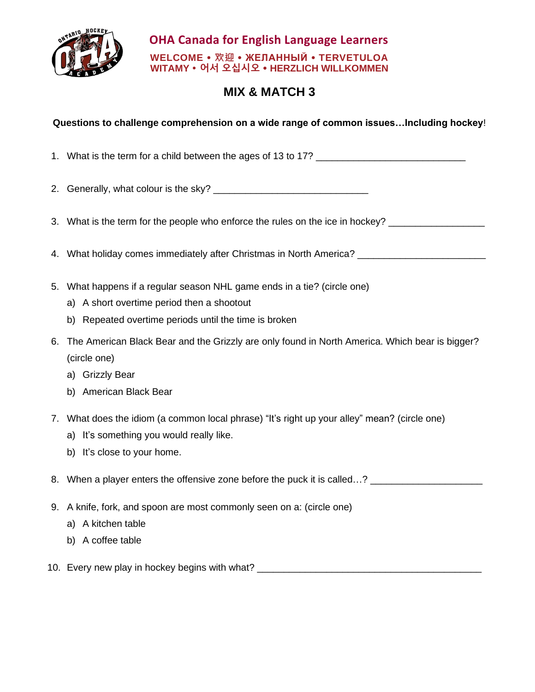

## **OHA Canada for English Language Learners WELCOME 欢迎 ЖЕЛАННЫЙ TERVETULOA WITAMY 어서 오십시오 HERZLICH WILLKOMMEN**

## **MIX & MATCH 3**

## **Questions to challenge comprehension on a wide range of common issues…Including hockey**!

- 1. What is the term for a child between the ages of 13 to 17?
- 2. Generally, what colour is the sky?
- 3. What is the term for the people who enforce the rules on the ice in hockey?
- 4. What holiday comes immediately after Christmas in North America? \_\_\_\_\_\_\_\_\_\_\_\_
- 5. What happens if a regular season NHL game ends in a tie? (circle one)
	- a) A short overtime period then a shootout
	- b) Repeated overtime periods until the time is broken
- 6. The American Black Bear and the Grizzly are only found in North America. Which bear is bigger? (circle one)
	- a) Grizzly Bear
	- b) American Black Bear
- 7. What does the idiom (a common local phrase) "It's right up your alley" mean? (circle one)
	- a) It's something you would really like.
	- b) It's close to your home.
- 8. When a player enters the offensive zone before the puck it is called…?
- 9. A knife, fork, and spoon are most commonly seen on a: (circle one)
	- a) A kitchen table
	- b) A coffee table
- 10. Every new play in hockey begins with what? \_\_\_\_\_\_\_\_\_\_\_\_\_\_\_\_\_\_\_\_\_\_\_\_\_\_\_\_\_\_\_\_\_